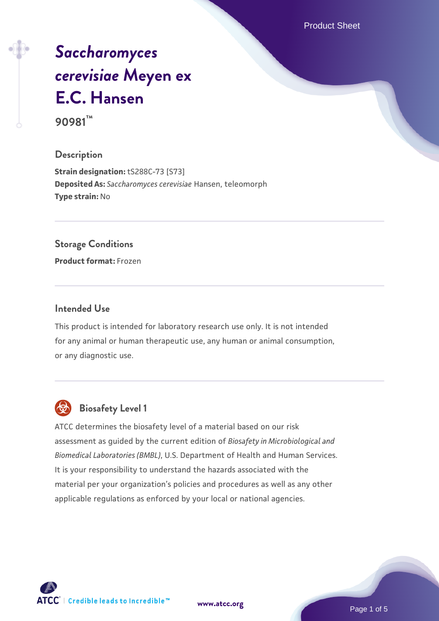Product Sheet

# *[Saccharomyces](https://www.atcc.org/products/90981) [cerevisiae](https://www.atcc.org/products/90981)* **[Meyen ex](https://www.atcc.org/products/90981) [E.C. Hansen](https://www.atcc.org/products/90981)**

**90981™**

### **Description**

**Strain designation:** tS288C-73 [S73] **Deposited As:** *Saccharomyces cerevisiae* Hansen, teleomorph **Type strain:** No

### **Storage Conditions**

**Product format:** Frozen

### **Intended Use**

This product is intended for laboratory research use only. It is not intended for any animal or human therapeutic use, any human or animal consumption, or any diagnostic use.



## **Biosafety Level 1**

ATCC determines the biosafety level of a material based on our risk assessment as guided by the current edition of *Biosafety in Microbiological and Biomedical Laboratories (BMBL)*, U.S. Department of Health and Human Services. It is your responsibility to understand the hazards associated with the material per your organization's policies and procedures as well as any other applicable regulations as enforced by your local or national agencies.

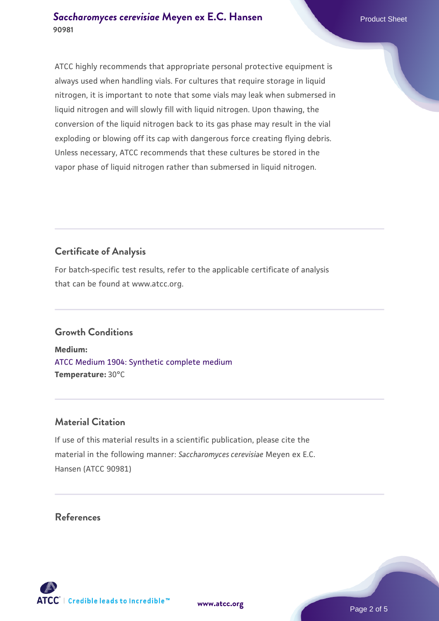ATCC highly recommends that appropriate personal protective equipment is always used when handling vials. For cultures that require storage in liquid nitrogen, it is important to note that some vials may leak when submersed in liquid nitrogen and will slowly fill with liquid nitrogen. Upon thawing, the conversion of the liquid nitrogen back to its gas phase may result in the vial exploding or blowing off its cap with dangerous force creating flying debris. Unless necessary, ATCC recommends that these cultures be stored in the vapor phase of liquid nitrogen rather than submersed in liquid nitrogen.

# **Certificate of Analysis**

For batch-specific test results, refer to the applicable certificate of analysis that can be found at www.atcc.org.

# **Growth Conditions**

**Medium:**  [ATCC Medium 1904: Synthetic complete medium](https://www.atcc.org/-/media/product-assets/documents/microbial-media-formulations/atcc-medium-1904.pdf?rev=0e0b7f15245044839a89ba7db6e9650a) **Temperature:** 30°C

### **Material Citation**

If use of this material results in a scientific publication, please cite the material in the following manner: *Saccharomyces cerevisiae* Meyen ex E.C. Hansen (ATCC 90981)

### **References**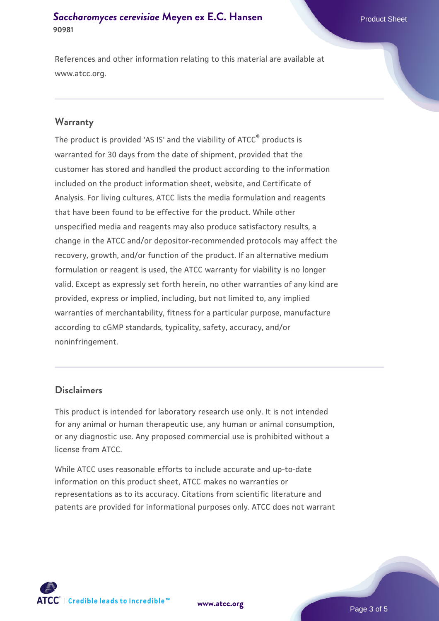### **[Saccharomyces cerevisiae](https://www.atcc.org/products/90981)** [Meyen ex E.C. Hansen](https://www.atcc.org/products/90981) **90981**

References and other information relating to this material are available at www.atcc.org.

### **Warranty**

The product is provided 'AS IS' and the viability of ATCC® products is warranted for 30 days from the date of shipment, provided that the customer has stored and handled the product according to the information included on the product information sheet, website, and Certificate of Analysis. For living cultures, ATCC lists the media formulation and reagents that have been found to be effective for the product. While other unspecified media and reagents may also produce satisfactory results, a change in the ATCC and/or depositor-recommended protocols may affect the recovery, growth, and/or function of the product. If an alternative medium formulation or reagent is used, the ATCC warranty for viability is no longer valid. Except as expressly set forth herein, no other warranties of any kind are provided, express or implied, including, but not limited to, any implied warranties of merchantability, fitness for a particular purpose, manufacture according to cGMP standards, typicality, safety, accuracy, and/or noninfringement.

### **Disclaimers**

This product is intended for laboratory research use only. It is not intended for any animal or human therapeutic use, any human or animal consumption, or any diagnostic use. Any proposed commercial use is prohibited without a license from ATCC.

While ATCC uses reasonable efforts to include accurate and up-to-date information on this product sheet, ATCC makes no warranties or representations as to its accuracy. Citations from scientific literature and patents are provided for informational purposes only. ATCC does not warrant



**[www.atcc.org](http://www.atcc.org)**

Page 3 of 5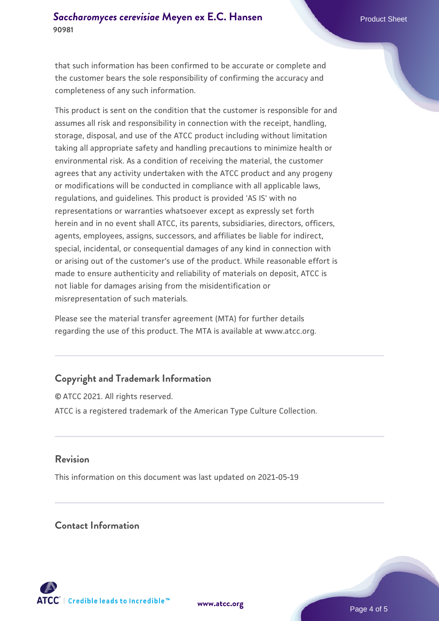that such information has been confirmed to be accurate or complete and the customer bears the sole responsibility of confirming the accuracy and completeness of any such information.

This product is sent on the condition that the customer is responsible for and assumes all risk and responsibility in connection with the receipt, handling, storage, disposal, and use of the ATCC product including without limitation taking all appropriate safety and handling precautions to minimize health or environmental risk. As a condition of receiving the material, the customer agrees that any activity undertaken with the ATCC product and any progeny or modifications will be conducted in compliance with all applicable laws, regulations, and guidelines. This product is provided 'AS IS' with no representations or warranties whatsoever except as expressly set forth herein and in no event shall ATCC, its parents, subsidiaries, directors, officers, agents, employees, assigns, successors, and affiliates be liable for indirect, special, incidental, or consequential damages of any kind in connection with or arising out of the customer's use of the product. While reasonable effort is made to ensure authenticity and reliability of materials on deposit, ATCC is not liable for damages arising from the misidentification or misrepresentation of such materials.

Please see the material transfer agreement (MTA) for further details regarding the use of this product. The MTA is available at www.atcc.org.

### **Copyright and Trademark Information**

© ATCC 2021. All rights reserved. ATCC is a registered trademark of the American Type Culture Collection.

### **Revision**

This information on this document was last updated on 2021-05-19

### **Contact Information**



**[www.atcc.org](http://www.atcc.org)**